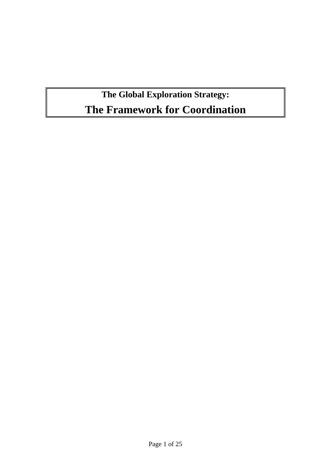# **The Global Exploration Strategy:**

# **The Framework for Coordination**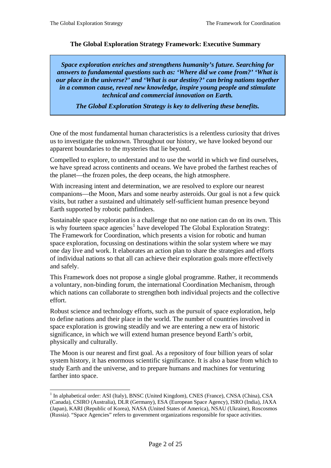-

# **The Global Exploration Strategy Framework: Executive Summary**

*Space exploration enriches and strengthens humanity's future. Searching for answers to fundamental questions such as: 'Where did we come from?' 'What is our place in the universe?' and 'What is our destiny?' can bring nations together in a common cause, reveal new knowledge, inspire young people and stimulate technical and commercial innovation on Earth.* 

*The Global Exploration Strategy is key to delivering these benefits.* 

One of the most fundamental human characteristics is a relentless curiosity that drives us to investigate the unknown. Throughout our history, we have looked beyond our apparent boundaries to the mysteries that lie beyond.

Compelled to explore, to understand and to use the world in which we find ourselves, we have spread across continents and oceans. We have probed the farthest reaches of the planet—the frozen poles, the deep oceans, the high atmosphere.

With increasing intent and determination, we are resolved to explore our nearest companions—the Moon, Mars and some nearby asteroids. Our goal is not a few quick visits, but rather a sustained and ultimately self-sufficient human presence beyond Earth supported by robotic pathfinders.

Sustainable space exploration is a challenge that no one nation can do on its own. This is why fourteen space agencies<sup>[1](#page-1-0)</sup> have developed The Global Exploration Strategy: The Framework for Coordination, which presents a vision for robotic and human space exploration, focussing on destinations within the solar system where we may one day live and work. It elaborates an action plan to share the strategies and efforts of individual nations so that all can achieve their exploration goals more effectively and safely.

This Framework does not propose a single global programme. Rather, it recommends a voluntary, non-binding forum, the international Coordination Mechanism, through which nations can collaborate to strengthen both individual projects and the collective effort.

Robust science and technology efforts, such as the pursuit of space exploration, help to define nations and their place in the world. The number of countries involved in space exploration is growing steadily and we are entering a new era of historic significance, in which we will extend human presence beyond Earth's orbit, physically and culturally.

The Moon is our nearest and first goal. As a repository of four billion years of solar system history, it has enormous scientific significance. It is also a base from which to study Earth and the universe, and to prepare humans and machines for venturing farther into space.

<span id="page-1-0"></span><sup>&</sup>lt;sup>1</sup> In alphabetical order: ASI (Italy), BNSC (United Kingdom), CNES (France), CNSA (China), CSA (Canada), CSIRO (Australia), DLR (Germany), ESA (European Space Agency), ISRO (India), JAXA (Japan), KARI (Republic of Korea), NASA (United States of America), NSAU (Ukraine), Roscosmos (Russia). "Space Agencies" refers to government organizations responsible for space activities.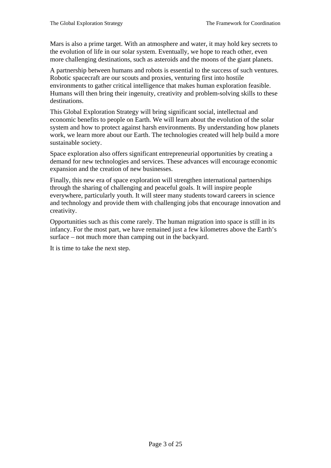Mars is also a prime target. With an atmosphere and water, it may hold key secrets to the evolution of life in our solar system. Eventually, we hope to reach other, even more challenging destinations, such as asteroids and the moons of the giant planets.

A partnership between humans and robots is essential to the success of such ventures. Robotic spacecraft are our scouts and proxies, venturing first into hostile environments to gather critical intelligence that makes human exploration feasible. Humans will then bring their ingenuity, creativity and problem-solving skills to these destinations.

This Global Exploration Strategy will bring significant social, intellectual and economic benefits to people on Earth. We will learn about the evolution of the solar system and how to protect against harsh environments. By understanding how planets work, we learn more about our Earth. The technologies created will help build a more sustainable society.

Space exploration also offers significant entrepreneurial opportunities by creating a demand for new technologies and services. These advances will encourage economic expansion and the creation of new businesses.

Finally, this new era of space exploration will strengthen international partnerships through the sharing of challenging and peaceful goals. It will inspire people everywhere, particularly youth. It will steer many students toward careers in science and technology and provide them with challenging jobs that encourage innovation and creativity.

Opportunities such as this come rarely. The human migration into space is still in its infancy. For the most part, we have remained just a few kilometres above the Earth's surface – not much more than camping out in the backyard.

It is time to take the next step.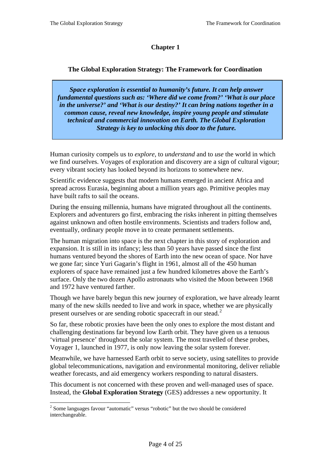# **The Global Exploration Strategy: The Framework for Coordination**

*Space exploration is essential to humanity's future. It can help answer fundamental questions such as: 'Where did we come from?' 'What is our place in the universe?' and 'What is our destiny?' It can bring nations together in a common cause, reveal new knowledge, inspire young people and stimulate technical and commercial innovation on Earth. The Global Exploration Strategy is key to unlocking this door to the future.* 

Human curiosity compels us to *explore*, to *understand* and to *use* the world in which we find ourselves. Voyages of exploration and discovery are a sign of cultural vigour; every vibrant society has looked beyond its horizons to somewhere new.

Scientific evidence suggests that modern humans emerged in ancient Africa and spread across Eurasia, beginning about a million years ago. Primitive peoples may have built rafts to sail the oceans.

During the ensuing millennia, humans have migrated throughout all the continents. Explorers and adventurers go first, embracing the risks inherent in pitting themselves against unknown and often hostile environments. Scientists and traders follow and, eventually, ordinary people move in to create permanent settlements.

The human migration into space is the next chapter in this story of exploration and expansion. It is still in its infancy; less than 50 years have passed since the first humans ventured beyond the shores of Earth into the new ocean of space. Nor have we gone far; since Yuri Gagarin's flight in 1961, almost all of the 450 human explorers of space have remained just a few hundred kilometres above the Earth's surface. Only the two dozen Apollo astronauts who visited the Moon between 1968 and 1972 have ventured farther.

Though we have barely begun this new journey of exploration, we have already learnt many of the new skills needed to live and work in space, whether we are physically present ourselves or are sending robotic spacecraft in our stead.<sup>[2](#page-3-0)</sup>

So far, these robotic proxies have been the only ones to explore the most distant and challenging destinations far beyond low Earth orbit. They have given us a tenuous 'virtual presence' throughout the solar system. The most travelled of these probes, Voyager 1, launched in 1977, is only now leaving the solar system forever.

Meanwhile, we have harnessed Earth orbit to serve society, using satellites to provide global telecommunications, navigation and environmental monitoring, deliver reliable weather forecasts, and aid emergency workers responding to natural disasters.

This document is not concerned with these proven and well-managed uses of space. Instead, the **Global Exploration Strategy** (GES) addresses a new opportunity. It

-

<span id="page-3-0"></span><sup>&</sup>lt;sup>2</sup> Some languages favour "automatic" versus "robotic" but the two should be considered interchangeable.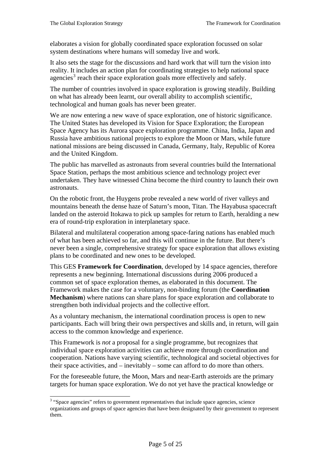elaborates a vision for globally coordinated space exploration focussed on solar system destinations where humans will someday live and work.

It also sets the stage for the discussions and hard work that will turn the vision into reality. It includes an action plan for coordinating strategies to help national space agencies<sup>[3](#page-4-0)</sup> reach their space exploration goals more effectively and safely.

The number of countries involved in space exploration is growing steadily. Building on what has already been learnt, our overall ability to accomplish scientific, technological and human goals has never been greater.

We are now entering a new wave of space exploration, one of historic significance. The United States has developed its Vision for Space Exploration; the European Space Agency has its Aurora space exploration programme. China, India, Japan and Russia have ambitious national projects to explore the Moon or Mars, while future national missions are being discussed in Canada, Germany, Italy, Republic of Korea and the United Kingdom.

The public has marvelled as astronauts from several countries build the International Space Station, perhaps the most ambitious science and technology project ever undertaken. They have witnessed China become the third country to launch their own astronauts.

On the robotic front, the Huygens probe revealed a new world of river valleys and mountains beneath the dense haze of Saturn's moon, Titan. The Hayabusa spacecraft landed on the asteroid Itokawa to pick up samples for return to Earth, heralding a new era of round-trip exploration in interplanetary space.

Bilateral and multilateral cooperation among space-faring nations has enabled much of what has been achieved so far, and this will continue in the future. But there's never been a single, comprehensive strategy for space exploration that allows existing plans to be coordinated and new ones to be developed.

This GES **Framework for Coordination**, developed by 14 space agencies, therefore represents a new beginning. International discussions during 2006 produced a common set of space exploration themes, as elaborated in this document. The Framework makes the case for a voluntary, non-binding forum (the **Coordination Mechanism**) where nations can share plans for space exploration and collaborate to strengthen both individual projects and the collective effort.

As a voluntary mechanism, the international coordination process is open to new participants. Each will bring their own perspectives and skills and, in return, will gain access to the common knowledge and experience.

This Framework is *not* a proposal for a single programme, but recognizes that individual space exploration activities can achieve more through coordination and cooperation. Nations have varying scientific, technological and societal objectives for their space activities, and – inevitably – some can afford to do more than others.

For the foreseeable future, the Moon, Mars and near-Earth asteroids are the primary targets for human space exploration. We do not yet have the practical knowledge or

<span id="page-4-0"></span><sup>&</sup>lt;sup>3</sup> "Space agencies" refers to government representatives that include space agencies, science organizations and groups of space agencies that have been designated by their government to represent them.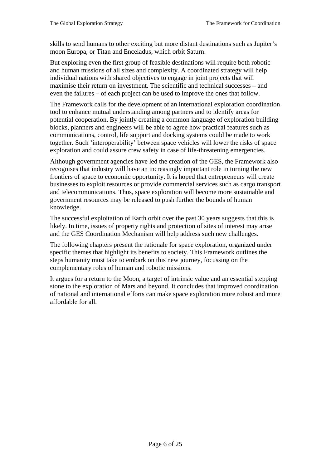skills to send humans to other exciting but more distant destinations such as Jupiter's moon Europa, or Titan and Enceladus, which orbit Saturn.

But exploring even the first group of feasible destinations will require both robotic and human missions of all sizes and complexity. A coordinated strategy will help individual nations with shared objectives to engage in joint projects that will maximise their return on investment. The scientific and technical successes – and even the failures – of each project can be used to improve the ones that follow.

The Framework calls for the development of an international exploration coordination tool to enhance mutual understanding among partners and to identify areas for potential cooperation. By jointly creating a common language of exploration building blocks, planners and engineers will be able to agree how practical features such as communications, control, life support and docking systems could be made to work together. Such 'interoperability' between space vehicles will lower the risks of space exploration and could assure crew safety in case of life-threatening emergencies.

Although government agencies have led the creation of the GES, the Framework also recognises that industry will have an increasingly important role in turning the new frontiers of space to economic opportunity. It is hoped that entrepreneurs will create businesses to exploit resources or provide commercial services such as cargo transport and telecommunications. Thus, space exploration will become more sustainable and government resources may be released to push further the bounds of human knowledge.

The successful exploitation of Earth orbit over the past 30 years suggests that this is likely. In time, issues of property rights and protection of sites of interest may arise and the GES Coordination Mechanism will help address such new challenges.

The following chapters present the rationale for space exploration, organized under specific themes that highlight its benefits to society. This Framework outlines the steps humanity must take to embark on this new journey, focussing on the complementary roles of human and robotic missions.

It argues for a return to the Moon, a target of intrinsic value and an essential stepping stone to the exploration of Mars and beyond. It concludes that improved coordination of national and international efforts can make space exploration more robust and more affordable for all.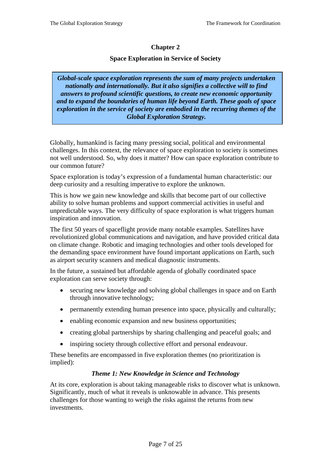#### **Space Exploration in Service of Society**

*Global-scale space exploration represents the sum of many projects undertaken nationally and internationally. But it also signifies a collective will to find answers to profound scientific questions, to create new economic opportunity and to expand the boundaries of human life beyond Earth. These goals of space exploration in the service of society are embodied in the recurring themes of the Global Exploration Strategy.* 

Globally, humankind is facing many pressing social, political and environmental challenges. In this context, the relevance of space exploration to society is sometimes not well understood. So, why does it matter? How can space exploration contribute to our common future?

Space exploration is today's expression of a fundamental human characteristic: our deep curiosity and a resulting imperative to explore the unknown.

This is how we gain new knowledge and skills that become part of our collective ability to solve human problems and support commercial activities in useful and unpredictable ways. The very difficulty of space exploration is what triggers human inspiration and innovation.

The first 50 years of spaceflight provide many notable examples. Satellites have revolutionized global communications and navigation, and have provided critical data on climate change. Robotic and imaging technologies and other tools developed for the demanding space environment have found important applications on Earth, such as airport security scanners and medical diagnostic instruments.

In the future, a sustained but affordable agenda of globally coordinated space exploration can serve society through:

- securing new knowledge and solving global challenges in space and on Earth through innovative technology;
- permanently extending human presence into space, physically and culturally;
- enabling economic expansion and new business opportunities;
- creating global partnerships by sharing challenging and peaceful goals; and
- inspiring society through collective effort and personal endeavour.

These benefits are encompassed in five exploration themes (no prioritization is implied):

#### *Theme 1: New Knowledge in Science and Technology*

At its core, exploration is about taking manageable risks to discover what is unknown. Significantly, much of what it reveals is unknowable in advance. This presents challenges for those wanting to weigh the risks against the returns from new investments.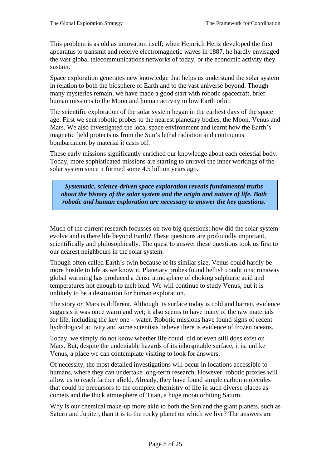This problem is as old as innovation itself; when Heinrich Hertz developed the first apparatus to transmit and receive electromagnetic waves in 1887, he hardly envisaged the vast global telecommunications networks of today, or the economic activity they sustain.

Space exploration generates new knowledge that helps us understand the solar system in relation to both the biosphere of Earth and to the vast universe beyond. Though many mysteries remain, we have made a good start with robotic spacecraft, brief human missions to the Moon and human activity in low Earth orbit.

The scientific exploration of the solar system began in the earliest days of the space age. First we sent robotic probes to the nearest planetary bodies, the Moon, Venus and Mars. We also investigated the local space environment and learnt how the Earth's magnetic field protects us from the Sun's lethal radiation and continuous bombardment by material it casts off.

These early missions significantly enriched our knowledge about each celestial body. Today, more sophisticated missions are starting to unravel the inner workings of the solar system since it formed some 4.5 billion years ago.

*Systematic, science-driven space exploration reveals fundamental truths about the history of the solar system and the origin and nature of life. Both robotic and human exploration are necessary to answer the key questions.* 

Much of the current research focusses on two big questions: how did the solar system evolve and is there life beyond Earth? These questions are profoundly important, scientifically and philosophically. The quest to answer these questions took us first to our nearest neighbours in the solar system.

Though often called Earth's twin because of its similar size, Venus could hardly be more hostile to life as we know it. Planetary probes found hellish conditions; runaway global warming has produced a dense atmosphere of choking sulphuric acid and temperatures hot enough to melt lead. We will continue to study Venus, but it is unlikely to be a destination for human exploration.

The story on Mars is different. Although its surface today is cold and barren, evidence suggests it was once warm and wet; it also seems to have many of the raw materials for life, including the key one – water. Robotic missions have found signs of recent hydrological activity and some scientists believe there is evidence of frozen oceans.

Today, we simply do not know whether life could, did or even still does exist on Mars. But, despite the undeniable hazards of its inhospitable surface, it is, unlike Venus, a place we can contemplate visiting to look for answers.

Of necessity, the most detailed investigations will occur in locations accessible to humans, where they can undertake long-term research. However, robotic proxies will allow us to reach farther afield. Already, they have found simple carbon molecules that could be precursors to the complex chemistry of life in such diverse places as comets and the thick atmosphere of Titan, a huge moon orbiting Saturn.

Why is our chemical make-up more akin to both the Sun and the giant planets, such as Saturn and Jupiter, than it is to the rocky planet on which we live? The answers are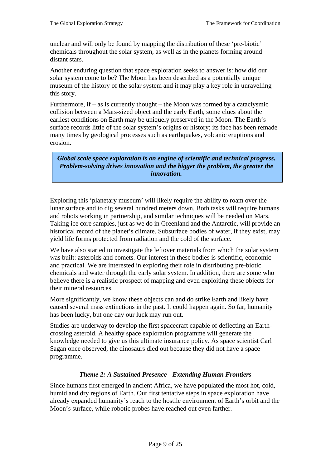unclear and will only be found by mapping the distribution of these 'pre-biotic' chemicals throughout the solar system, as well as in the planets forming around distant stars.

Another enduring question that space exploration seeks to answer is: how did our solar system come to be? The Moon has been described as a potentially unique museum of the history of the solar system and it may play a key role in unravelling this story.

Furthermore, if  $-$  as is currently thought  $-$  the Moon was formed by a cataclysmic collision between a Mars-sized object and the early Earth, some clues about the earliest conditions on Earth may be uniquely preserved in the Moon. The Earth's surface records little of the solar system's origins or history; its face has been remade many times by geological processes such as earthquakes, volcanic eruptions and erosion.

*Global scale space exploration is an engine of scientific and technical progress. Problem-solving drives innovation and the bigger the problem, the greater the innovation.* 

Exploring this 'planetary museum' will likely require the ability to roam over the lunar surface and to dig several hundred meters down. Both tasks will require humans and robots working in partnership, and similar techniques will be needed on Mars. Taking ice core samples, just as we do in Greenland and the Antarctic, will provide an historical record of the planet's climate. Subsurface bodies of water, if they exist, may yield life forms protected from radiation and the cold of the surface.

We have also started to investigate the leftover materials from which the solar system was built: asteroids and comets. Our interest in these bodies is scientific, economic and practical. We are interested in exploring their role in distributing pre-biotic chemicals and water through the early solar system. In addition, there are some who believe there is a realistic prospect of mapping and even exploiting these objects for their mineral resources.

More significantly, we know these objects can and do strike Earth and likely have caused several mass extinctions in the past. It could happen again. So far, humanity has been lucky, but one day our luck may run out.

Studies are underway to develop the first spacecraft capable of deflecting an Earthcrossing asteroid. A healthy space exploration programme will generate the knowledge needed to give us this ultimate insurance policy. As space scientist Carl Sagan once observed, the dinosaurs died out because they did not have a space programme.

# *Theme 2: A Sustained Presence - Extending Human Frontiers*

Since humans first emerged in ancient Africa, we have populated the most hot, cold, humid and dry regions of Earth. Our first tentative steps in space exploration have already expanded humanity's reach to the hostile environment of Earth's orbit and the Moon's surface, while robotic probes have reached out even farther.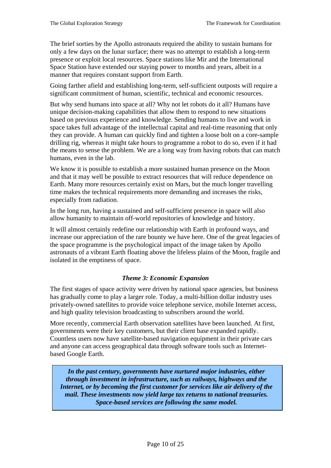The brief sorties by the Apollo astronauts required the ability to sustain humans for only a few days on the lunar surface; there was no attempt to establish a long-term presence or exploit local resources. Space stations like Mir and the International Space Station have extended our staying power to months and years, albeit in a manner that requires constant support from Earth.

Going farther afield and establishing long-term, self-sufficient outposts will require a significant commitment of human, scientific, technical and economic resources.

But why send humans into space at all? Why not let robots do it all? Humans have unique decision-making capabilities that allow them to respond to new situations based on previous experience and knowledge. Sending humans to live and work in space takes full advantage of the intellectual capital and real-time reasoning that only they can provide. A human can quickly find and tighten a loose bolt on a core-sample drilling rig, whereas it might take hours to programme a robot to do so, even if it had the means to sense the problem. We are a long way from having robots that can match humans, even in the lab.

We know it is possible to establish a more sustained human presence on the Moon and that it may well be possible to extract resources that will reduce dependence on Earth. Many more resources certainly exist on Mars, but the much longer travelling time makes the technical requirements more demanding and increases the risks, especially from radiation.

In the long run, having a sustained and self-sufficient presence in space will also allow humanity to maintain off-world repositories of knowledge and history.

It will almost certainly redefine our relationship with Earth in profound ways, and increase our appreciation of the rare bounty we have here. One of the great legacies of the space programme is the psychological impact of the image taken by Apollo astronauts of a vibrant Earth floating above the lifeless plains of the Moon, fragile and isolated in the emptiness of space.

#### *Theme 3: Economic Expansion*

The first stages of space activity were driven by national space agencies, but business has gradually come to play a larger role. Today, a multi-billion dollar industry uses privately-owned satellites to provide voice telephone service, mobile Internet access, and high quality television broadcasting to subscribers around the world.

More recently, commercial Earth observation satellites have been launched. At first, governments were their key customers, but their client base expanded rapidly. Countless users now have satellite-based navigation equipment in their private cars and anyone can access geographical data through software tools such as Internetbased Google Earth.

*In the past century, governments have nurtured major industries, either through investment in infrastructure, such as railways, highways and the Internet, or by becoming the first customer for services like air delivery of the mail. These investments now yield large tax returns to national treasuries. Space-based services are following the same model.*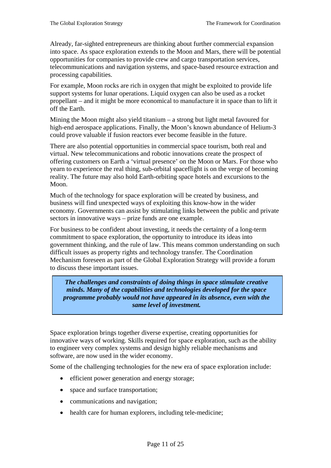Already, far-sighted entrepreneurs are thinking about further commercial expansion into space. As space exploration extends to the Moon and Mars, there will be potential opportunities for companies to provide crew and cargo transportation services, telecommunications and navigation systems, and space-based resource extraction and processing capabilities.

For example, Moon rocks are rich in oxygen that might be exploited to provide life support systems for lunar operations. Liquid oxygen can also be used as a rocket propellant – and it might be more economical to manufacture it in space than to lift it off the Earth.

Mining the Moon might also yield titanium  $-$  a strong but light metal favoured for high-end aerospace applications. Finally, the Moon's known abundance of Helium-3 could prove valuable if fusion reactors ever become feasible in the future.

There are also potential opportunities in commercial space tourism, both real and virtual. New telecommunications and robotic innovations create the prospect of offering customers on Earth a 'virtual presence' on the Moon or Mars. For those who yearn to experience the real thing, sub-orbital spaceflight is on the verge of becoming reality. The future may also hold Earth-orbiting space hotels and excursions to the Moon.

Much of the technology for space exploration will be created by business, and business will find unexpected ways of exploiting this know-how in the wider economy. Governments can assist by stimulating links between the public and private sectors in innovative ways – prize funds are one example.

For business to be confident about investing, it needs the certainty of a long-term commitment to space exploration, the opportunity to introduce its ideas into government thinking, and the rule of law. This means common understanding on such difficult issues as property rights and technology transfer. The Coordination Mechanism foreseen as part of the Global Exploration Strategy will provide a forum to discuss these important issues.

*The challenges and constraints of doing things in space stimulate creative minds. Many of the capabilities and technologies developed for the space programme probably would not have appeared in its absence, even with the same level of investment.* 

Space exploration brings together diverse expertise, creating opportunities for innovative ways of working. Skills required for space exploration, such as the ability to engineer very complex systems and design highly reliable mechanisms and software, are now used in the wider economy.

Some of the challenging technologies for the new era of space exploration include:

- efficient power generation and energy storage;
- space and surface transportation:
- communications and navigation;
- health care for human explorers, including tele-medicine;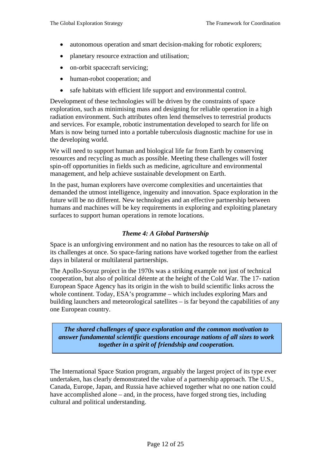- autonomous operation and smart decision-making for robotic explorers;
- planetary resource extraction and utilisation:
- on-orbit spacecraft servicing;
- human-robot cooperation; and
- safe habitats with efficient life support and environmental control.

Development of these technologies will be driven by the constraints of space exploration, such as minimising mass and designing for reliable operation in a high radiation environment. Such attributes often lend themselves to terrestrial products and services. For example, robotic instrumentation developed to search for life on Mars is now being turned into a portable tuberculosis diagnostic machine for use in the developing world.

We will need to support human and biological life far from Earth by conserving resources and recycling as much as possible. Meeting these challenges will foster spin-off opportunities in fields such as medicine, agriculture and environmental management, and help achieve sustainable development on Earth.

In the past, human explorers have overcome complexities and uncertainties that demanded the utmost intelligence, ingenuity and innovation. Space exploration in the future will be no different. New technologies and an effective partnership between humans and machines will be key requirements in exploring and exploiting planetary surfaces to support human operations in remote locations.

## *Theme 4: A Global Partnership*

Space is an unforgiving environment and no nation has the resources to take on all of its challenges at once. So space-faring nations have worked together from the earliest days in bilateral or multilateral partnerships.

The Apollo-Soyuz project in the 1970s was a striking example not just of technical cooperation, but also of political détente at the height of the Cold War. The 17- nation European Space Agency has its origin in the wish to build scientific links across the whole continent. Today, ESA's programme – which includes exploring Mars and building launchers and meteorological satellites – is far beyond the capabilities of any one European country.

*The shared challenges of space exploration and the common motivation to answer fundamental scientific questions encourage nations of all sizes to work together in a spirit of friendship and cooperation.* 

The International Space Station program, arguably the largest project of its type ever undertaken, has clearly demonstrated the value of a partnership approach. The U.S., Canada, Europe, Japan, and Russia have achieved together what no one nation could have accomplished alone – and, in the process, have forged strong ties, including cultural and political understanding.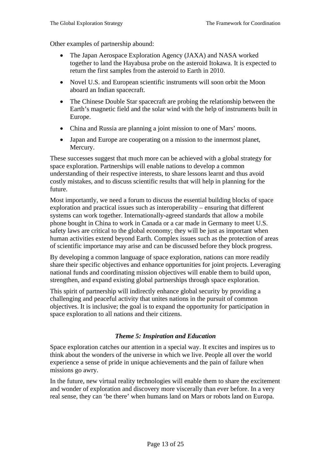Other examples of partnership abound:

- The Japan Aerospace Exploration Agency (JAXA) and NASA worked together to land the Hayabusa probe on the asteroid Itokawa. It is expected to return the first samples from the asteroid to Earth in 2010.
- Novel U.S. and European scientific instruments will soon orbit the Moon aboard an Indian spacecraft.
- The Chinese Double Star spacecraft are probing the relationship between the Earth's magnetic field and the solar wind with the help of instruments built in Europe.
- China and Russia are planning a joint mission to one of Mars' moons.
- Japan and Europe are cooperating on a mission to the innermost planet, Mercury.

These successes suggest that much more can be achieved with a global strategy for space exploration. Partnerships will enable nations to develop a common understanding of their respective interests, to share lessons learnt and thus avoid costly mistakes, and to discuss scientific results that will help in planning for the future.

Most importantly, we need a forum to discuss the essential building blocks of space exploration and practical issues such as interoperability – ensuring that different systems can work together. Internationally-agreed standards that allow a mobile phone bought in China to work in Canada or a car made in Germany to meet U.S. safety laws are critical to the global economy; they will be just as important when human activities extend beyond Earth. Complex issues such as the protection of areas of scientific importance may arise and can be discussed before they block progress.

By developing a common language of space exploration, nations can more readily share their specific objectives and enhance opportunities for joint projects. Leveraging national funds and coordinating mission objectives will enable them to build upon, strengthen, and expand existing global partnerships through space exploration.

This spirit of partnership will indirectly enhance global security by providing a challenging and peaceful activity that unites nations in the pursuit of common objectives. It is inclusive; the goal is to expand the opportunity for participation in space exploration to all nations and their citizens.

#### *Theme 5: Inspiration and Education*

Space exploration catches our attention in a special way. It excites and inspires us to think about the wonders of the universe in which we live. People all over the world experience a sense of pride in unique achievements and the pain of failure when missions go awry.

In the future, new virtual reality technologies will enable them to share the excitement and wonder of exploration and discovery more viscerally than ever before. In a very real sense, they can 'be there' when humans land on Mars or robots land on Europa.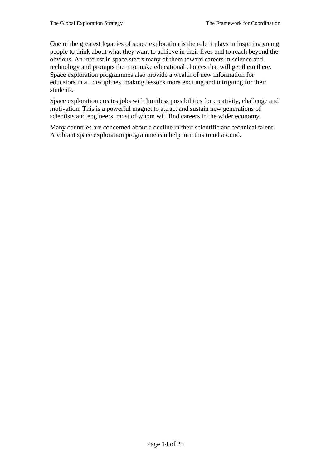One of the greatest legacies of space exploration is the role it plays in inspiring young people to think about what they want to achieve in their lives and to reach beyond the obvious. An interest in space steers many of them toward careers in science and technology and prompts them to make educational choices that will get them there. Space exploration programmes also provide a wealth of new information for educators in all disciplines, making lessons more exciting and intriguing for their students.

Space exploration creates jobs with limitless possibilities for creativity, challenge and motivation. This is a powerful magnet to attract and sustain new generations of scientists and engineers, most of whom will find careers in the wider economy.

Many countries are concerned about a decline in their scientific and technical talent. A vibrant space exploration programme can help turn this trend around.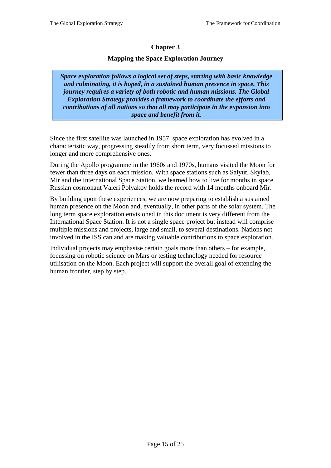#### **Mapping the Space Exploration Journey**

*Space exploration follows a logical set of steps, starting with basic knowledge and culminating, it is hoped, in a sustained human presence in space. This journey requires a variety of both robotic and human missions. The Global Exploration Strategy provides a framework to coordinate the efforts and contributions of all nations so that all may participate in the expansion into space and benefit from it.*

Since the first satellite was launched in 1957, space exploration has evolved in a characteristic way, progressing steadily from short term, very focussed missions to longer and more comprehensive ones.

During the Apollo programme in the 1960s and 1970s, humans visited the Moon for fewer than three days on each mission. With space stations such as Salyut, Skylab, Mir and the International Space Station, we learned how to live for months in space. Russian cosmonaut Valeri Polyakov holds the record with 14 months onboard Mir.

By building upon these experiences, we are now preparing to establish a sustained human presence on the Moon and, eventually, in other parts of the solar system. The long term space exploration envisioned in this document is very different from the International Space Station. It is not a single space project but instead will comprise multiple missions and projects, large and small, to several destinations. Nations not involved in the ISS can and are making valuable contributions to space exploration.

Individual projects may emphasise certain goals more than others – for example, focussing on robotic science on Mars or testing technology needed for resource utilisation on the Moon. Each project will support the overall goal of extending the human frontier, step by step.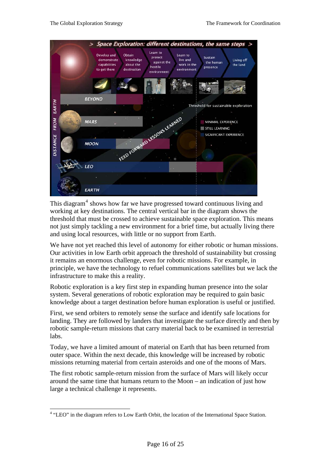

This diagram<sup>[4](#page-15-0)</sup> shows how far we have progressed toward continuous living and working at key destinations. The central vertical bar in the diagram shows the threshold that must be crossed to achieve sustainable space exploration. This means not just simply tackling a new environment for a brief time, but actually living there and using local resources, with little or no support from Earth.

We have not yet reached this level of autonomy for either robotic or human missions. Our activities in low Earth orbit approach the threshold of sustainability but crossing it remains an enormous challenge, even for robotic missions. For example, in principle, we have the technology to refuel communications satellites but we lack the infrastructure to make this a reality.

Robotic exploration is a key first step in expanding human presence into the solar system. Several generations of robotic exploration may be required to gain basic knowledge about a target destination before human exploration is useful or justified.

First, we send orbiters to remotely sense the surface and identify safe locations for landing. They are followed by landers that investigate the surface directly and then by robotic sample-return missions that carry material back to be examined in terrestrial labs.

Today, we have a limited amount of material on Earth that has been returned from outer space. Within the next decade, this knowledge will be increased by robotic missions returning material from certain asteroids and one of the moons of Mars.

The first robotic sample-return mission from the surface of Mars will likely occur around the same time that humans return to the Moon – an indication of just how large a technical challenge it represents.

-

<span id="page-15-0"></span><sup>&</sup>lt;sup>4</sup> "LEO" in the diagram refers to Low Earth Orbit, the location of the International Space Station.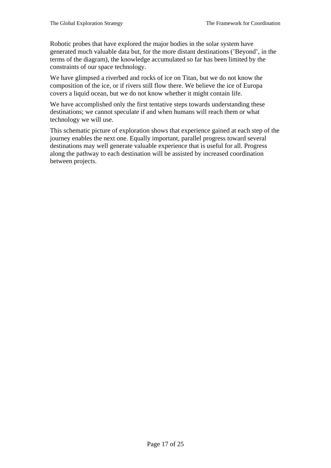Robotic probes that have explored the major bodies in the solar system have generated much valuable data but, for the more distant destinations ('Beyond', in the terms of the diagram), the knowledge accumulated so far has been limited by the constraints of our space technology.

We have glimpsed a riverbed and rocks of ice on Titan, but we do not know the composition of the ice, or if rivers still flow there. We believe the ice of Europa covers a liquid ocean, but we do not know whether it might contain life.

We have accomplished only the first tentative steps towards understanding these destinations; we cannot speculate if and when humans will reach them or what technology we will use.

This schematic picture of exploration shows that experience gained at each step of the journey enables the next one. Equally important, parallel progress toward several destinations may well generate valuable experience that is useful for all. Progress along the pathway to each destination will be assisted by increased coordination between projects.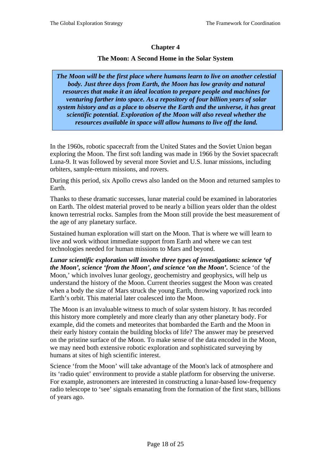#### **The Moon: A Second Home in the Solar System**

*The Moon will be the first place where humans learn to live on another celestial body. Just three days from Earth, the Moon has low gravity and natural resources that make it an ideal location to prepare people and machines for venturing farther into space. As a repository of four billion years of solar system history and as a place to observe the Earth and the universe, it has great scientific potential. Exploration of the Moon will also reveal whether the resources available in space will allow humans to live off the land.* 

In the 1960s, robotic spacecraft from the United States and the Soviet Union began exploring the Moon. The first soft landing was made in 1966 by the Soviet spacecraft Luna-9. It was followed by several more Soviet and U.S. lunar missions, including orbiters, sample-return missions, and rovers.

During this period, six Apollo crews also landed on the Moon and returned samples to Earth.

Thanks to these dramatic successes, lunar material could be examined in laboratories on Earth. The oldest material proved to be nearly a billion years older than the oldest known terrestrial rocks. Samples from the Moon still provide the best measurement of the age of any planetary surface.

Sustained human exploration will start on the Moon. That is where we will learn to live and work without immediate support from Earth and where we can test technologies needed for human missions to Mars and beyond.

*Lunar scientific exploration will involve three types of investigations: science 'of the Moon', science 'from the Moon', and science 'on the Moon'.* Science 'of the Moon,' which involves lunar geology, geochemistry and geophysics, will help us understand the history of the Moon. Current theories suggest the Moon was created when a body the size of Mars struck the young Earth, throwing vaporized rock into Earth's orbit. This material later coalesced into the Moon.

The Moon is an invaluable witness to much of solar system history. It has recorded this history more completely and more clearly than any other planetary body. For example, did the comets and meteorites that bombarded the Earth and the Moon in their early history contain the building blocks of life? The answer may be preserved on the pristine surface of the Moon. To make sense of the data encoded in the Moon, we may need both extensive robotic exploration and sophisticated surveying by humans at sites of high scientific interest.

Science 'from the Moon' will take advantage of the Moon's lack of atmosphere and its 'radio quiet' environment to provide a stable platform for observing the universe. For example, astronomers are interested in constructing a lunar-based low-frequency radio telescope to 'see' signals emanating from the formation of the first stars, billions of years ago.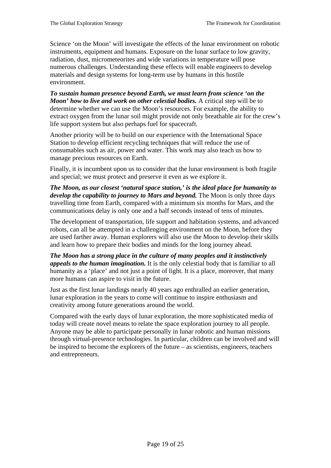Science 'on the Moon' will investigate the effects of the lunar environment on robotic instruments, equipment and humans. Exposure on the lunar surface to low gravity, radiation, dust, micrometeorites and wide variations in temperature will pose numerous challenges. Understanding these effects will enable engineers to develop materials and design systems for long-term use by humans in this hostile environment.

*To sustain human presence beyond Earth, we must learn from science 'on the Moon' how to live and work on other celestial bodies.* A critical step will be to determine whether we can use the Moon's resources. For example, the ability to extract oxygen from the lunar soil might provide not only breathable air for the crew's life support system but also perhaps fuel for spacecraft.

Another priority will be to build on our experience with the International Space Station to develop efficient recycling techniques that will reduce the use of consumables such as air, power and water. This work may also teach us how to manage precious resources on Earth.

Finally, it is incumbent upon us to consider that the lunar environment is both fragile and special; we must protect and preserve it even as we explore it.

*The Moon, as our closest 'natural space station,' is the ideal place for humanity to develop the capability to journey to Mars and beyond.* The Moon is only three days travelling time from Earth, compared with a minimum six months for Mars, and the communications delay is only one and a half seconds instead of tens of minutes.

The development of transportation, life support and habitation systems, and advanced robots, can all be attempted in a challenging environment on the Moon, before they are used farther away. Human explorers will also use the Moon to develop their skills and learn how to prepare their bodies and minds for the long journey ahead.

*The Moon has a strong place in the culture of many peoples and it instinctively appeals to the human imagination.* It is the only celestial body that is familiar to all humanity as a 'place' and not just a point of light. It is a place, moreover, that many more humans can aspire to visit in the future.

Just as the first lunar landings nearly 40 years ago enthralled an earlier generation, lunar exploration in the years to come will continue to inspire enthusiasm and creativity among future generations around the world.

Compared with the early days of lunar exploration, the more sophisticated media of today will create novel means to relate the space exploration journey to all people. Anyone may be able to participate personally in lunar robotic and human missions through virtual-presence technologies. In particular, children can be involved and will be inspired to become the explorers of the future – as scientists, engineers, teachers and entrepreneurs.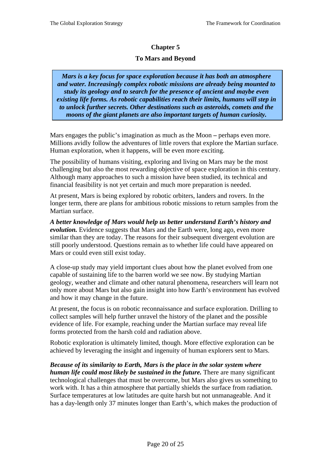#### **To Mars and Beyond**

*Mars is a key focus for space exploration because it has both an atmosphere and water. Increasingly complex robotic missions are already being mounted to study its geology and to search for the presence of ancient and maybe even existing life forms. As robotic capabilities reach their limits, humans will step in to unlock further secrets. Other destinations such as asteroids, comets and the moons of the giant planets are also important targets of human curiosity.* 

Mars engages the public's imagination as much as the Moon **–** perhaps even more. Millions avidly follow the adventures of little rovers that explore the Martian surface. Human exploration, when it happens, will be even more exciting.

The possibility of humans visiting, exploring and living on Mars may be the most challenging but also the most rewarding objective of space exploration in this century. Although many approaches to such a mission have been studied, its technical and financial feasibility is not yet certain and much more preparation is needed.

At present, Mars is being explored by robotic orbiters, landers and rovers. In the longer term, there are plans for ambitious robotic missions to return samples from the Martian surface.

*A better knowledge of Mars would help us better understand Earth's history and evolution.* Evidence suggests that Mars and the Earth were, long ago, even more similar than they are today. The reasons for their subsequent divergent evolution are still poorly understood. Questions remain as to whether life could have appeared on Mars or could even still exist today.

A close-up study may yield important clues about how the planet evolved from one capable of sustaining life to the barren world we see now. By studying Martian geology, weather and climate and other natural phenomena, researchers will learn not only more about Mars but also gain insight into how Earth's environment has evolved and how it may change in the future.

At present, the focus is on robotic reconnaissance and surface exploration. Drilling to collect samples will help further unravel the history of the planet and the possible evidence of life. For example, reaching under the Martian surface may reveal life forms protected from the harsh cold and radiation above.

Robotic exploration is ultimately limited, though. More effective exploration can be achieved by leveraging the insight and ingenuity of human explorers sent to Mars.

*Because of its similarity to Earth, Mars is the place in the solar system where human life could most likely be sustained in the future.* There are many significant technological challenges that must be overcome, but Mars also gives us something to work with. It has a thin atmosphere that partially shields the surface from radiation. Surface temperatures at low latitudes are quite harsh but not unmanageable. And it has a day-length only 37 minutes longer than Earth's, which makes the production of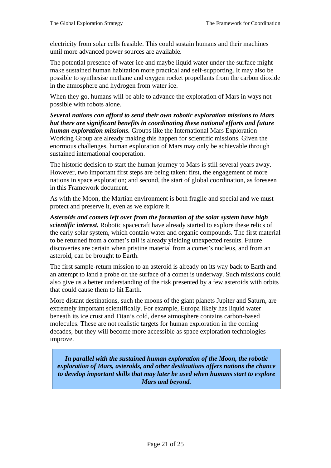electricity from solar cells feasible. This could sustain humans and their machines until more advanced power sources are available.

The potential presence of water ice and maybe liquid water under the surface might make sustained human habitation more practical and self-supporting. It may also be possible to synthesise methane and oxygen rocket propellants from the carbon dioxide in the atmosphere and hydrogen from water ice.

When they go, humans will be able to advance the exploration of Mars in ways not possible with robots alone.

*Several nations can afford to send their own robotic exploration missions to Mars but there are significant benefits in coordinating these national efforts and future human exploration missions.* Groups like the International Mars Exploration Working Group are already making this happen for scientific missions. Given the enormous challenges, human exploration of Mars may only be achievable through sustained international cooperation.

The historic decision to start the human journey to Mars is still several years away. However, two important first steps are being taken: first, the engagement of more nations in space exploration; and second, the start of global coordination, as foreseen in this Framework document.

As with the Moon, the Martian environment is both fragile and special and we must protect and preserve it, even as we explore it.

*Asteroids and comets left over from the formation of the solar system have high scientific interest.* Robotic spacecraft have already started to explore these relics of the early solar system, which contain water and organic compounds. The first material to be returned from a comet's tail is already yielding unexpected results. Future discoveries are certain when pristine material from a comet's nucleus, and from an asteroid, can be brought to Earth.

The first sample-return mission to an asteroid is already on its way back to Earth and an attempt to land a probe on the surface of a comet is underway. Such missions could also give us a better understanding of the risk presented by a few asteroids with orbits that could cause them to hit Earth.

More distant destinations, such the moons of the giant planets Jupiter and Saturn, are extremely important scientifically. For example, Europa likely has liquid water beneath its ice crust and Titan's cold, dense atmosphere contains carbon-based molecules. These are not realistic targets for human exploration in the coming decades, but they will become more accessible as space exploration technologies improve.

*In parallel with the sustained human exploration of the Moon, the robotic exploration of Mars, asteroids, and other destinations offers nations the chance to develop important skills that may later be used when humans start to explore Mars and beyond.*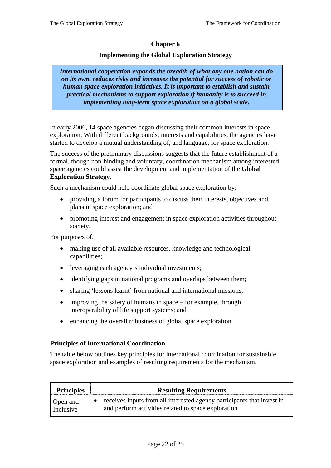## **Implementing the Global Exploration Strategy**

*International cooperation expands the breadth of what any one nation can do on its own, reduces risks and increases the potential for success of robotic or human space exploration initiatives. It is important to establish and sustain practical mechanisms to support exploration if humanity is to succeed in implementing long-term space exploration on a global scale.*

In early 2006, 14 space agencies began discussing their common interests in space exploration. With different backgrounds, interests and capabilities, the agencies have started to develop a mutual understanding of, and language, for space exploration.

The success of the preliminary discussions suggests that the future establishment of a formal, though non-binding and voluntary, coordination mechanism among interested space agencies could assist the development and implementation of the **Global Exploration Strategy***.* 

Such a mechanism could help coordinate global space exploration by:

- providing a forum for participants to discuss their interests, objectives and plans in space exploration; and
- promoting interest and engagement in space exploration activities throughout society.

For purposes of:

- making use of all available resources, knowledge and technological capabilities;
- leveraging each agency's individual investments;
- identifying gaps in national programs and overlaps between them;
- sharing 'lessons learnt' from national and international missions;
- improving the safety of humans in space for example, through interoperability of life support systems; and
- enhancing the overall robustness of global space exploration.

#### **Principles of International Coordination**

The table below outlines key principles for international coordination for sustainable space exploration and examples of resulting requirements for the mechanism.

| <b>Principles</b> | <b>Resulting Requirements</b>                                          |
|-------------------|------------------------------------------------------------------------|
| Open and          | receives inputs from all interested agency participants that invest in |
| Inclusive         | and perform activities related to space exploration                    |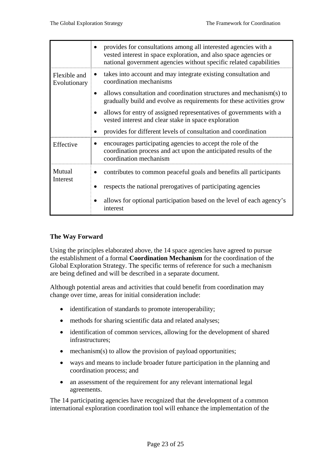|                              | provides for consultations among all interested agencies with a<br>vested interest in space exploration, and also space agencies or<br>national government agencies without specific related capabilities |
|------------------------------|-----------------------------------------------------------------------------------------------------------------------------------------------------------------------------------------------------------|
| Flexible and<br>Evolutionary | takes into account and may integrate existing consultation and<br>coordination mechanisms                                                                                                                 |
|                              | allows consultation and coordination structures and mechanism(s) to<br>$\bullet$<br>gradually build and evolve as requirements for these activities grow                                                  |
|                              | allows for entry of assigned representatives of governments with a<br>$\bullet$<br>vested interest and clear stake in space exploration                                                                   |
|                              | provides for different levels of consultation and coordination<br>$\bullet$                                                                                                                               |
| Effective                    | encourages participating agencies to accept the role of the<br>coordination process and act upon the anticipated results of the<br>coordination mechanism                                                 |
| Mutual<br>Interest           | contributes to common peaceful goals and benefits all participants                                                                                                                                        |
|                              | respects the national prerogatives of participating agencies                                                                                                                                              |
|                              | allows for optional participation based on the level of each agency's<br>interest                                                                                                                         |

# **The Way Forward**

Using the principles elaborated above, the 14 space agencies have agreed to pursue the establishment of a formal **Coordination Mechanism** for the coordination of the Global Exploration Strategy. The specific terms of reference for such a mechanism are being defined and will be described in a separate document.

Although potential areas and activities that could benefit from coordination may change over time, areas for initial consideration include:

- identification of standards to promote interoperability;
- methods for sharing scientific data and related analyses;
- identification of common services, allowing for the development of shared infrastructures;
- mechanism(s) to allow the provision of payload opportunities;
- ways and means to include broader future participation in the planning and coordination process; and
- an assessment of the requirement for any relevant international legal agreements.

The 14 participating agencies have recognized that the development of a common international exploration coordination tool will enhance the implementation of the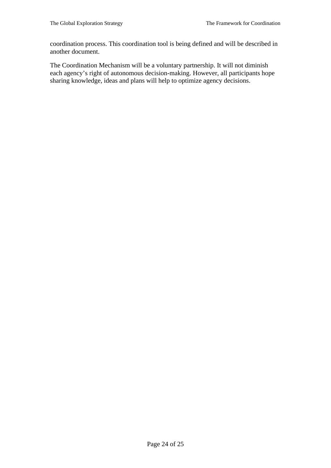coordination process. This coordination tool is being defined and will be described in another document.

The Coordination Mechanism will be a voluntary partnership. It will not diminish each agency's right of autonomous decision-making. However, all participants hope sharing knowledge, ideas and plans will help to optimize agency decisions.